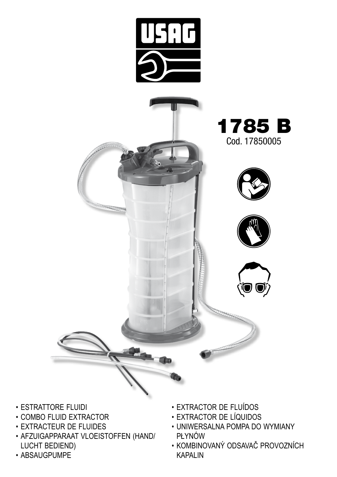

- • EXTRACTEUR DE FLUIDES
- • AFZUIGAPPARAAT VLOEISTOFFEN (HAND/ LUCHT BEDIEND)
- • ABSAUGPUMPE
- 
- • UNIWERSALNA POMPA DO WYMIANY PŁYNÓW
- • KOMBINOVANÝ ODSAVAČ PROVOZNÍCH KAPALIN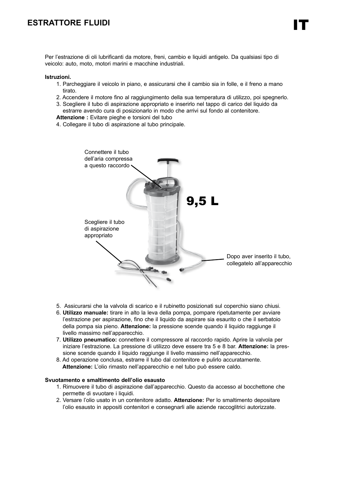## **ESTRATTORE FLUIDI**

Per l'estrazione di oli lubrificanti da motore, freni, cambio e liquidi antigelo. Da qualsiasi tipo di veicolo: auto, moto, motori marini e macchine industriali.

#### **Istruzioni.**

- 1. Parcheggiare il veicolo in piano, e assicurarsi che il cambio sia in folle, e il freno a mano tirato.
- 2. Accendere il motore fino al raggiungimento della sua temperatura di utilizzo, poi spegnerlo.
- 3. Scegliere il tubo di aspirazione appropriato e inserirlo nel tappo di carico del liquido da estrarre avendo cura di posizionarlo in modo che arrivi sul fondo al contenitore.

**Attenzione :** Evitare pieghe e torsioni del tubo

4. Collegare il tubo di aspirazione al tubo principale.



- 5. Assicurarsi che la valvola di scarico e il rubinetto posizionati sul coperchio siano chiusi.
- 6. **Utilizzo manuale:** tirare in alto la leva della pompa, pompare ripetutamente per avviare l'estrazione per aspirazione, fino che il liquido da aspirare sia esaurito o che il serbatoio della pompa sia pieno. **Attenzione:** la pressione scende quando il liquido raggiunge il livello massimo nell'apparecchio.
- 7. **Utilizzo pneumatico:** connettere il compressore al raccordo rapido. Aprire la valvola per iniziare l'estrazione. La pressione di utilizzo deve essere tra 5 e 8 bar. **Attenzione:** la pressione scende quando il liquido raggiunge il livello massimo nell'apparecchio.
- 8. Ad operazione conclusa, estrarre il tubo dal contenitore e pulirlo accuratamente. **Attenzione:** L'olio rimasto nell'apparecchio e nel tubo può essere caldo.

#### **Svuotamento e smaltimento dell'olio esausto**

- 1. Rimuovere il tubo di aspirazione dall'apparecchio. Questo da accesso al bocchettone che permette di svuotare i liquidi.
- 2. Versare l'olio usato in un contenitore adatto. **Attenzione:** Per lo smaltimento depositare l'olio esausto in appositi contenitori e consegnarli alle aziende raccoglitrici autorizzate.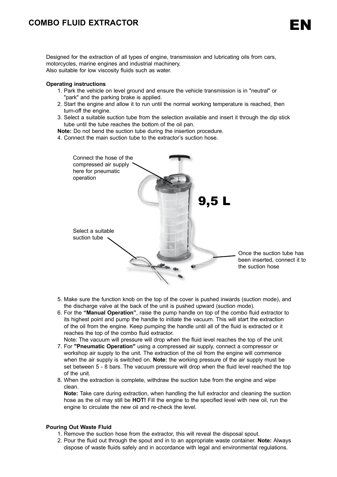## **COMBO FLUID EXTRACTOR**

Designed for the extraction of all types of engine, transmission and lubricating oils from cars, motorcycles, marine engines and industrial machinery. Also suitable for low viscosity fluids such as water.

#### **Operating instructions**

- 1. Park the vehicle on level ground and ensure the vehicle transmission is in "neutral" or "park" and the parking brake is applied.
- 2. Start the engine and allow it to run until the normal working temperature is reached, then turn-off the engine.
- 3. Select a suitable suction tube from the selection available and insert it through the dip stick tube until the tube reaches the bottom of the oil pan.

**Note:** Do not bend the suction tube during the insertion procedure.

4. Connect the main suction tube to the extractor's suction hose.



- 5. Make sure the function knob on the top of the cover is pushed inwards (suction mode), and the discharge valve at the back of the unit is pushed upward (suction mode).
- 6. For the **"Manual Operation"**, raise the pump handle on top of the combo fluid extractor to its highest point and pump the handle to initiate the vacuum. This will start the extraction of the oil from the engine. Keep pumping the handle until all of the fluid is extracted or it reaches the top of the combo fluid extractor.
- Note: The vacuum will pressure will drop when the fluid level reaches the top of the unit. 7. For **"Pneumatic Operation"** using a compressed air supply, connect a compressor or workshop air supply to the unit. The extraction of the oil from the engine will commence when the air supply is switched on. **Note:** the working pressure of the air supply must be set between 5 - 8 bars. The vacuum pressure will drop when the fluid level reached the top of the unit.
- 8. When the extraction is complete, withdraw the suction tube from the engine and wipe clean.

**Note:** Take care during extraction, when handling the full extractor and cleaning the suction hose as the oil may still be **HOT!** Fill the engine to the specified level with new oil, run the engine to circulate the new oil and re-check the level.

#### **Pouring Out Waste Fluid**

- 1. Remove the suction hose from the extractor, this will reveal the disposal spout.
- 2. Pour the fluid out through the spout and in to an appropriate waste container. **Note:** Always dispose of waste fluids safely and in accordance with legal and environmental regulations.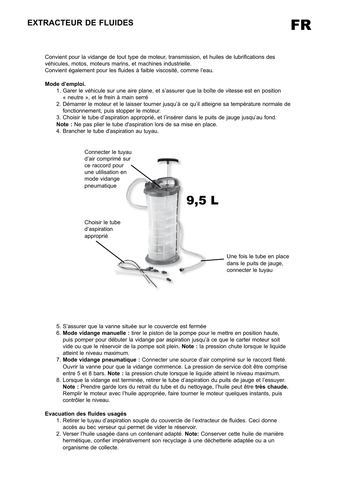## **EXTRACTEUR DE FLUIDES**

Convient pour la vidange de tout type de moteur, transmission, et huiles de lubrifications des véhicules, motos, moteurs marins, et machines industrielle.

Convient également pour les fluides à faible viscosité, comme l'eau.

#### **Mode d'emploi.**

- 1. Garer le véhicule sur une aire plane, et s'assurer que la boîte de vitesse est en position « neutre », et le frein à main serré
- 2. Démarrer le moteur et le laisser tourner jusqu'à ce qu'il atteigne sa température normale de fonctionnement, puis stopper le moteur.

3. Choisir le tube d'aspiration approprié, et l'insérer dans le puits de jauge jusqu'au fond.

**Note :** Ne pas plier le tube d'aspiration lors de sa mise en place.

4. Brancher le tube d'aspiration au tuyau.



- 5. S'assurer que la vanne située sur le couvercle est fermée
- 6. **Mode vidange manuelle :** tirer le piston de la pompe pour le mettre en position haute, puis pomper pour débuter la vidange par aspiration jusqu'à ce que le carter moteur soit vide ou que le réservoir de la pompe soit plein. **Note :** la pression chute lorsque le liquide atteint le niveau maximum.
- 7. **Mode vidange pneumatique :** Connecter une source d'air comprimé sur le raccord fileté. Ouvrir la vanne pour que la vidange commence. La pression de service doit être comprise entre 5 et 8 bars. **Note :** la pression chute lorsque le liquide atteint le niveau maximum.
- 8. Lorsque la vidange est terminée, retirer le tube d'aspiration du puits de jauge et l'essuyer. **Note :** Prendre garde lors du retrait du tube et du nettoyage, l'huile peut être **très chaude.**  Remplir le moteur avec l'huile appropriée, faire tourner le moteur quelques instants, puis contrôler le niveau.

#### **Evacuation des fluides usagés**

- 1. Retirer le tuyau d'aspiration souple du couvercle de l'extracteur de fluides. Ceci donne accès au bec verseur qui permet de vider le réservoir.
- 2. Verser l'huile usagée dans un contenant adapté. **Note:** Conserver cette huile de manière hermétique, confier impérativement son recyclage à une déchetterie adaptée ou a un organisme de collecte.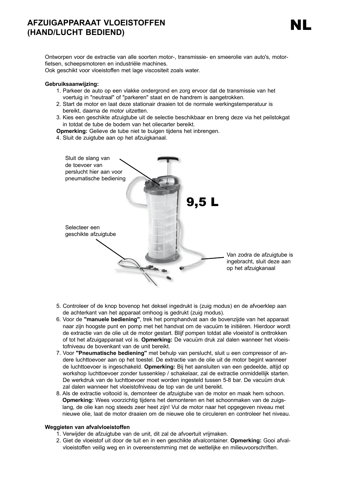#### **AFZUIGAPPARAAT VLOEISTOFFEN (HAND/LUCHT BEDIEND) EXTRACTEUR DE FRACT VLOEISTOFFEN DE LA CONTRACTEUR DE LA CONTRACTEUR DE LA CONTRACTEUR DE LA CONTRACTEUR DE LA**<br>CHAND/LUCHT BEDIEND)

Ontworpen voor de extractie van alle soorten motor-, transmissie- en smeerolie van auto's, motorfietsen, scheepsmotoren en industriële machines.

Ook geschikt voor vloeistoffen met lage viscositeit zoals water.

#### **Gebruiksaanwijzing:**

- 1. Parkeer de auto op een vlakke ondergrond en zorg ervoor dat de transmissie van het voertuig in "neutraal" of "parkeren" staat en de handrem is aangetrokken.
- 2. Start de motor en laat deze stationair draaien tot de normale werkingstemperatuur is bereikt, daarna de motor uitzetten.
- 3. Kies een geschikte afzuigtube uit de selectie beschikbaar en breng deze via het peilstokgat in totdat de tube de bodem van het oliecarter bereikt.

**Opmerking:** Gelieve de tube niet te buigen tijdens het inbrengen.

4. Sluit de zuigtube aan op het afzuigkanaal.



- 5. Controleer of de knop bovenop het deksel ingedrukt is (zuig modus) en de afvoerklep aan de achterkant van het apparaat omhoog is gedrukt (zuig modus).
- 6. Voor de **"manuele bediening"**, trek het pomphandvat aan de bovenzijde van het apparaat naar zijn hoogste punt en pomp met het handvat om de vacuüm te initiëren. Hierdoor wordt de extractie van de olie uit de motor gestart. Blijf pompen totdat alle vloeistof is onttrokken of tot het afzuigapparaat vol is. **Opmerking:** De vacuüm druk zal dalen wanneer het vloeistofniveau de bovenkant van de unit bereikt.
- 7. Voor **"Pneumatische bediening"** met behulp van perslucht, sluit u een compressor of andere luchttoevoer aan op het toestel. De extractie van de olie uit de motor begint wanneer de luchttoevoer is ingeschakeld. **Opmerking:** Bij het aansluiten van een gedeelde, altijd op workshop luchttoevoer zonder tussenklep / schakelaar, zal de extractie onmiddellijk starten. De werkdruk van de luchttoevoer moet worden ingesteld tussen 5-8 bar. De vacuüm druk zal dalen wanneer het vloeistofniveau de top van de unit bereikt.
- 8. Als de extractie voltooid is, demonteer de afzuigtube van de motor en maak hem schoon. **Opmerking:** Wees voorzichtig tijdens het demonteren en het schoonmaken van de zuigslang, de olie kan nog steeds zeer heet zijn! Vul de motor naar het opgegeven niveau met nieuwe olie, laat de motor draaien om de nieuwe olie te circuleren en controleer het niveau.

#### **Weggieten van afvalvloeistoffen**

- 1. Verwijder de afzuigtube van de unit, dit zal de afvoertuit vrijmaken.
- 2. Giet de vloeistof uit door de tuit en in een geschikte afvalcontainer. **Opmerking:** Gooi afvalvloeistoffen veilig weg en in overeenstemming met de wettelijke en milieuvoorschriften.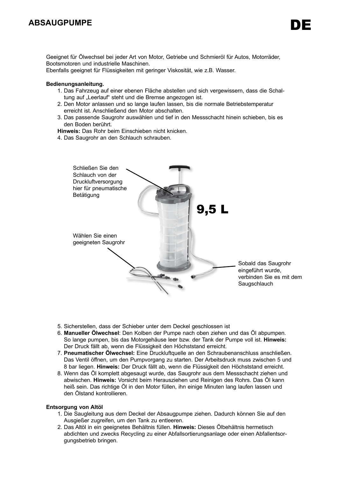### **ABSAUGPUMPE**

Geeignet für Ölwechsel bei jeder Art von Motor, Getriebe und Schmieröl für Autos, Motorräder, Bootsmotoren und industrielle Maschinen.

Ebenfalls geeignet für Flüssigkeiten mit geringer Viskosität, wie z.B. Wasser.

#### **Bedienungsanleitung.**

- 1. Das Fahrzeug auf einer ebenen Fläche abstellen und sich vergewissern, dass die Schaltung auf "Leerlauf" steht und die Bremse angezogen ist.
- 2. Den Motor anlassen und so lange laufen lassen, bis die normale Betriebstemperatur erreicht ist. Anschließend den Motor abschalten.
- 3. Das passende Saugrohr auswählen und tief in den Messschacht hinein schieben, bis es den Boden berührt.

**Hinweis:** Das Rohr beim Einschieben nicht knicken.

4. Das Saugrohr an den Schlauch schrauben.



- 5. Sicherstellen, dass der Schieber unter dem Deckel geschlossen ist
- 6. **Manueller Ölwechsel**: Den Kolben der Pumpe nach oben ziehen und das Öl abpumpen. So lange pumpen, bis das Motorgehäuse leer bzw. der Tank der Pumpe voll ist. **Hinweis:** Der Druck fällt ab, wenn die Flüssigkeit den Höchststand erreicht.
- 7. **Pneumatischer Ölwechsel:** Eine Druckluftquelle an den Schraubenanschluss anschließen. Das Ventil öffnen, um den Pumpvorgang zu starten. Der Arbeitsdruck muss zwischen 5 und 8 bar liegen. **Hinweis:** Der Druck fällt ab, wenn die Flüssigkeit den Höchststand erreicht.
- 8. Wenn das Öl komplett abgesaugt wurde, das Saugrohr aus dem Messschacht ziehen und abwischen. **Hinweis:** Vorsicht beim Herausziehen und Reinigen des Rohrs. Das Öl kann heiß sein. Das richtige Öl in den Motor füllen, ihn einige Minuten lang laufen lassen und den Ölstand kontrollieren.

#### **Entsorgung von Altöl**

- 1. Die Saugleitung aus dem Deckel der Absaugpumpe ziehen. Dadurch können Sie auf den Ausgießer zugreifen, um den Tank zu entleeren.
- 2. Das Altöl in ein geeignetes Behältnis füllen. **Hinweis:** Dieses Ölbehältnis hermetisch abdichten und zwecks Recycling zu einer Abfallsortierungsanlage oder einen Abfallentsorgungsbetrieb bringen.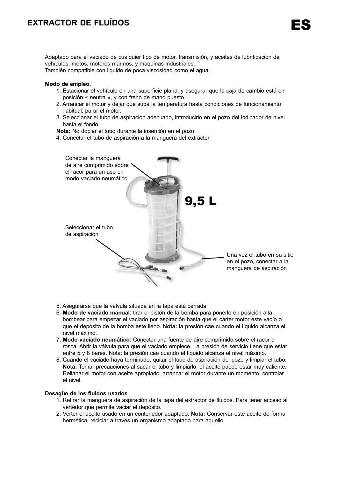# **EXTRACTOR DE FLUÍDOS**

Adaptado para el vaciado de cualquier tipo de motor, transmisión, y aceites de lubrificación de vehículos, motos, motores marinos, y maquinas industriales.

También compatible con liquido de poca viscosidad como el agua.

#### **Modo de empleo.**

- 1. Estacionar el vehículo en una superficie plana, y asegurar que la caja de cambio está en posición « neutra », y con freno de mano puesto.
- 2. Arrancar el motor y dejar que suba la temperatura hasta condiciones de funcionamiento habitual, parar el motor.
- 3. Seleccionar el tubo de aspiración adecuado, introducirlo en el pozo del indicador de nivel hasta el fondo.

**Nota:** No doblar el tubo durante la inserción en el pozo

4. Conectar el tubo de aspiración a la manguera del extractor



- 5. Asegurarse que la válvula situada en la tapa está cerrada
- 6. **Modo de vaciado manual**: tirar el pistón de la bomba para ponerlo en posición alta, bombear para empezar el vaciado por aspiración hasta que el cárter motor este vacío o que el depósito de la bomba este lleno. **Nota:** la presión cae cuando el líquido alcanza el nivel máximo.
- 7. **Modo vaciado neumático**: Conectar una fuente de aire comprimido sobre el racor a rosca. Abrir la válvula para que el vaciado empiece. La presión de servicio tiene que estar entre 5 y 8 bares. Nota: la presión cae cuando el líquido alcanza el nivel máximo.
- 8. Cuando el vaciado haya terminado, quitar el tubo de aspiración del pozo y limpiar el tubo. **Nota:** Tomar precauciones al sacar el tubo y limpiarlo, el aceite puede estar muy caliente. Rellanar el motor con aceite apropiado, arrancar el motor durante un momento, controlar el nivel.

#### **Desagüe de los fluidos usados**

- 1. Retirar la manguera de aspiración de la tapa del extractor de fluidos. Para tener acceso al vertedor que permite vaciar el depósito.
- 2. Verter el aceite usado en un contenedor adaptado. **Nota:** Conservar este aceite de forma hermética, reciclar a través un organismo adaptado para aquello.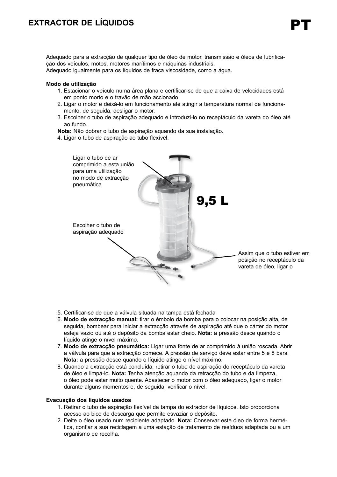# **EXTRACTOR DE LÍQUIDOS**

Adequado para a extracção de qualquer tipo de óleo de motor, transmissão e óleos de lubrificação dos veículos, motos, motores marítimos e máquinas industriais.

Adequado igualmente para os líquidos de fraca viscosidade, como a água.

#### **Modo de utilização**

- 1. Estacionar o veículo numa área plana e certificar-se de que a caixa de velocidades está em ponto morto e o travão de mão accionado
- 2. Ligar o motor e deixá-lo em funcionamento até atingir a temperatura normal de funcionamento, de seguida, desligar o motor.
- 3. Escolher o tubo de aspiração adequado e introduzi-lo no receptáculo da vareta do óleo até ao fundo.

**Nota:** Não dobrar o tubo de aspiração aquando da sua instalação.

4. Ligar o tubo de aspiração ao tubo flexível.



- 5. Certificar-se de que a válvula situada na tampa está fechada
- 6. **Modo de extracção manual:** tirar o êmbolo da bomba para o colocar na posição alta, de seguida, bombear para iniciar a extracção através de aspiração até que o cárter do motor esteja vazio ou até o depósito da bomba estar cheio. **Nota:** a pressão desce quando o líquido atinge o nível máximo.
- 7. **Modo de extracção pneumática:** Ligar uma fonte de ar comprimido à união roscada. Abrir a válvula para que a extracção comece. A pressão de serviço deve estar entre 5 e 8 bars. **Nota:** a pressão desce quando o líquido atinge o nível máximo.
- 8. Quando a extracção está concluída, retirar o tubo de aspiração do receptáculo da vareta de óleo e limpá-lo. **Nota:** Tenha atenção aquando da retracção do tubo e da limpeza, o óleo pode estar muito quente. Abastecer o motor com o óleo adequado, ligar o motor durante alguns momentos e, de seguida, verificar o nível.

#### **Evacuação dos líquidos usados**

- 1. Retirar o tubo de aspiração flexível da tampa do extractor de líquidos. Isto proporciona acesso ao bico de descarga que permite esvaziar o depósito.
- 2. Deite o óleo usado num recipiente adaptado. **Nota:** Conservar este óleo de forma hermética, confiar a sua reciclagem a uma estação de tratamento de resíduos adaptada ou a um organismo de recolha.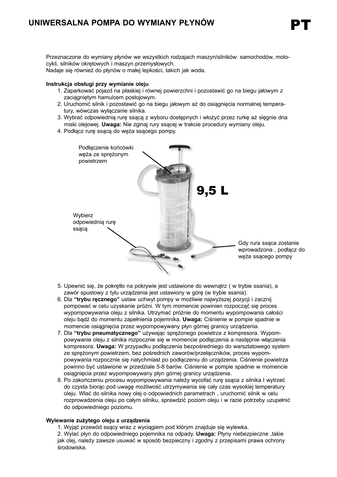Przeznaczone do wymiany płynów we wszystkich rodzajach maszyn/silników: samochodów, motocykli, silników okrętowych i maszyn przemysłowych.

Nadaje się również do płynów o małej lepkości, takich jak woda.

#### **Instrukcja obsługi przy wymianie oleju**

- 1. Zaparkować pojazd na płaskiej i równej powierzchni i pozostawić go na biegu jałowym z zaciagniętym hamulcem postojowym.
- 2. Uruchomić silnik i pozostawić go na biegu jałowym aż do osiągnięcia normalnej temperatury, wówczas wyłączanie silnika.
- 3. Wybrać odpowiednią rurę ssącą z wyboru dostępnych i włożyć przez rurkę aż sięgnie dna miski olejowej. **Uwaga:** Nie zginaj rury ssącej w trakcie procedury wymiany oleju.
- 4. Podłącz rurę ssącą do węża ssącego pompy.



- 5. Upewnić się, że pokrętło na pokrywie jest ustawione do wewnątrz ( w trybie ssania), a zawór spustowy z tyłu urządzenia jest ustawiony w górę (w trybie ssania).
- 6. Dla **"trybu ręcznego"** ustaw uchwyt pompy w możliwie najwyższej pozycji i zacznij pompować w celu uzyskanie próżni. W tym momencie powinien rozpocząć się proces wypompowywania oleju z silnika. Utrzymać próżnie do momentu wypompowania całości oleju bądź do momentu zapełnienia pojemnika. **Uwaga:** Ciśnienie w pompie spadnie w momencie osiągnięcia przez wypompowywany płyn górnej granicy urządzenia.
- 7. Dla **"trybu pneumatycznego"** używając sprężonego powietrza z kompresora. Wypompowywanie oleju z silnika rozpocznie się w momencie podłączenia a następnie włączenia kompresora. **Uwaga:** W przypadku podłączenia bezpośredniego do warsztatowego system ze sprężonym powietrzem, bez pośrednich zaworów/przełączników, proces wypompowywania rozpocznie się natychmiast po podłączeniu do urządzenia. Ciśnienie powietrza powinno być ustawione w przedziale 5-8 barów. Ciśnienie w pompie spadnie w momencie osiągnięcia przez wypompowywany płyn górnej granicy urządzenia.
- 8. Po zakończeniu procesu wypompowywania należy wycofać rurę ssąca z silnika I wytrzeć do czysta biorąc pod uwagę możliwość utrzymywania się cały czas wysokiej temperatury oleju. Wlać do silnika nowy olej o odpowiednich parametrach , uruchomić silnik w celu rozprowadzenia oleju po całym silniku, sprawdzić poziom oleju i w razie potrzeby uzupełnić do odpowiedniego poziomu.

#### **Wylewanie zużytego oleju z urządzenia**

1. Wyjąć przewód ssący wraz z wyciągiem pod którym znajduje się wylewka.

2. Wylać płyn do odpowiedniego pojemnika na odpady. **Uwaga:** Płyny niebezpieczne ,takie jak olej, należy zawsze usuwać w sposób bezpieczny i zgodny z przepisami prawa ochrony środowiska.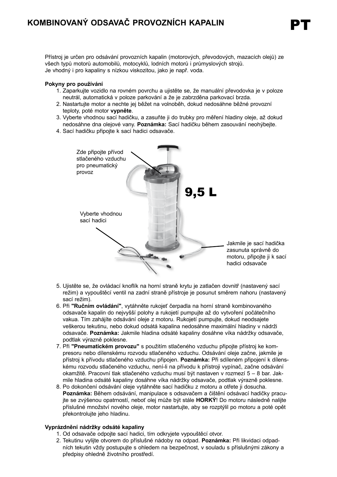Přístroj je určen pro odsávání provozních kapalin (motorových, převodových, mazacích olejů) ze všech typů motorů automobilů, motocyklů, lodních motorů i průmyslových strojů. Je vhodný i pro kapaliny s nízkou viskozitou, jako je např. voda.

#### **Pokyny pro používání**

- 1. Zaparkujte vozidlo na rovném povrchu a ujistěte se, že manuální převodovka je v poloze neutrál, automatická v poloze parkování a že je zabrzděna parkovací brzda.
- 2. Nastartujte motor a nechte jej běžet na volnoběh, dokud nedosáhne běžné provozní teploty, poté motor **vypněte**.
- 3. Vyberte vhodnou sací hadičku, a zasuňte ji do trubky pro měření hladiny oleje, až dokud nedosáhne dna olejové vany. **Poznámka:** Sací hadičku během zasouvání neohýbejte.
- 4. Sací hadičku připojte k sací hadici odsavače.



- 5. Ujistěte se, že ovládací knoflík na horní straně krytu je zatlačen dovnitř (nastavený sací režim) a vypouštěcí ventil na zadní straně přístroje je posunut směrem nahoru (nastavený sací režim).
- 6. Při **"Ručním ovládání"**, vytáhněte rukojeť čerpadla na horní straně kombinovaného odsavače kapalin do nejvyšší polohy a rukojetí pumpujte až do vytvoření počátečního vakua. Tím zahájíte odsávání oleje z motoru. Rukojetí pumpujte, dokud neodsajete veškerou tekutinu, nebo dokud odsátá kapalina nedosáhne maximální hladiny v nádrži odsavače. **Poznámka:** Jakmile hladina odsáté kapaliny dosáhne víka nádržky odsavače, podtlak výrazně poklesne.
- 7. Při **"Pneumatickém provozu"** s použitím stlačeného vzduchu připojte přístroj ke kompresoru nebo dílenskému rozvodu stlačeného vzduchu. Odsávání oleje začne, jakmile je přístroj k přívodu stlačeného vzduchu připojen. **Poznámka:** Při sdíleném připojení k dílenskému rozvodu stlačeného vzduchu, není-li na přívodu k přístroji vypínač, začne odsávání okamžitě. Pracovní tlak stlačeného vzduchu musí být nastaven v rozmezí 5 – 8 bar. Jakmile hladina odsáté kapaliny dosáhne víka nádržky odsavače, podtlak výrazně poklesne.
- 8. Po dokončení odsávání oleje vytáhněte sací hadičku z motoru a otřete ji dosucha. **Poznámka:** Během odsávání, manipulace s odsavačem a čištění odsávací hadičky pracujte se zvýšenou opatrností, neboť olej může být stále **HORKÝ**! Do motoru následně nalijte příslušné množství nového oleje, motor nastartujte, aby se rozptýlil po motoru a poté opět překontrolujte jeho hladinu.

#### **Vyprázdnění nádržky odsáté kapaliny**

- 1. Od odsavače odpojte sací hadici, tím odkryjete vypouštěcí otvor.
- 2. Tekutinu vylijte otvorem do příslušné nádoby na odpad. **Poznámka:** Při likvidaci odpadních tekutin vždy postupujte s ohledem na bezpečnost, v souladu s příslušnými zákony a předpisy ohledně životního prostředí.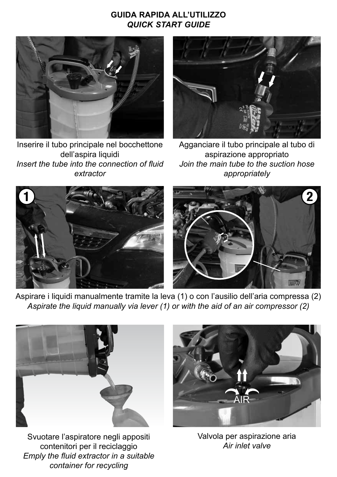# **GUIDA RAPIDA ALL'UTILIZZO** *QUICK START GUIDE*



Inserire il tubo principale nel bocchettone dell'aspira liquidi *Insert the tube into the connection of fluid extractor*



Agganciare il tubo principale al tubo di aspirazione appropriato *Join the main tube to the suction hose appropriately*



Aspirare i liquidi manualmente tramite la leva (1) o con l'ausilio dell'aria compressa (2) *Aspirate the liquid manually via lever (1) or with the aid of an air compressor (2)*



Svuotare l'aspiratore negli appositi contenitori per il reciclaggio *Emply the fluid extractor in a suitable container for recycling*



Valvola per aspirazione aria *Air inlet valve*